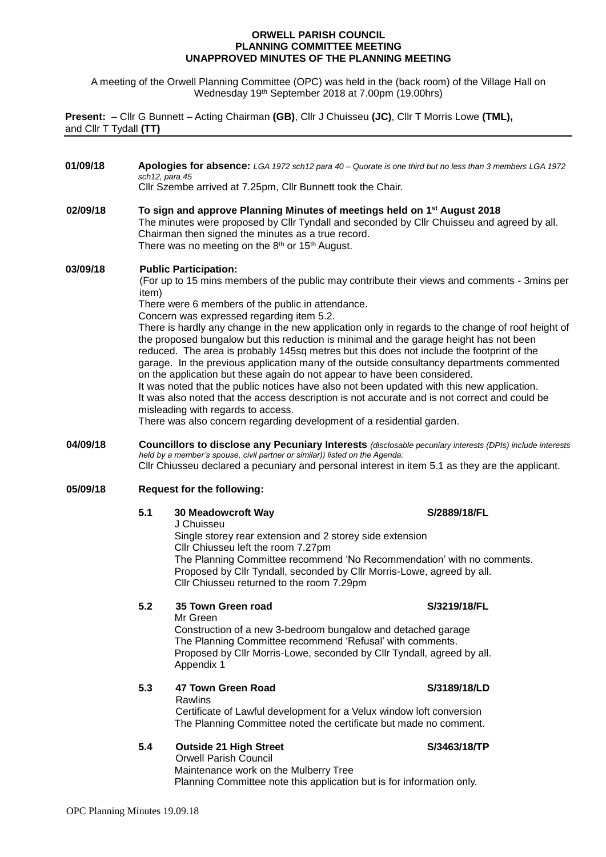### **ORWELL PARISH COUNCIL PLANNING COMMITTEE MEETING UNAPPROVED MINUTES OF THE PLANNING MEETING**

A meeting of the Orwell Planning Committee (OPC) was held in the (back room) of the Village Hall on Wednesday 19th September 2018 at 7.00pm (19.00hrs)

**Present:** – Cllr G Bunnett – Acting Chairman **(GB)**, Cllr J Chuisseu **(JC)**, Cllr T Morris Lowe **(TML),** and Cllr T Tydall **(TT)**

**01/09/18 Apologies for absence:** *LGA 1972 sch12 para 40 – Quorate is one third but no less than 3 members LGA 1972 sch12, para 45* Cllr Szembe arrived at 7.25pm, Cllr Bunnett took the Chair. **02/09/18 To sign and approve Planning Minutes of meetings held on 1 st August 2018** The minutes were proposed by Cllr Tyndall and seconded by Cllr Chuisseu and agreed by all. Chairman then signed the minutes as a true record. There was no meeting on the 8<sup>th</sup> or 15<sup>th</sup> August. **03/09/18 Public Participation:** (For up to 15 mins members of the public may contribute their views and comments - 3mins per item) There were 6 members of the public in attendance. Concern was expressed regarding item 5.2. There is hardly any change in the new application only in regards to the change of roof height of the proposed bungalow but this reduction is minimal and the garage height has not been reduced. The area is probably 145sq metres but this does not include the footprint of the garage. In the previous application many of the outside consultancy departments commented on the application but these again do not appear to have been considered. It was noted that the public notices have also not been updated with this new application. It was also noted that the access description is not accurate and is not correct and could be misleading with regards to access. There was also concern regarding development of a residential garden. **04/09/18 Councillors to disclose any Pecuniary Interests** *(disclosable pecuniary interests (DPIs) include interests held by a member's spouse, civil partner or similar)) listed on the Agenda:* Cllr Chiusseu declared a pecuniary and personal interest in item 5.1 as they are the applicant. **05/09/18 Request for the following: 5.1 30 Meadowcroft Way S/2889/18/FL** J Chuisseu Single storey rear extension and 2 storey side extension Cllr Chiusseu left the room 7.27pm The Planning Committee recommend 'No Recommendation' with no comments. Proposed by Cllr Tyndall, seconded by Cllr Morris-Lowe, agreed by all. Cllr Chiusseu returned to the room 7.29pm **5.2 35 Town Green road S/3219/18/FL** Mr Green Construction of a new 3-bedroom bungalow and detached garage The Planning Committee recommend 'Refusal' with comments. Proposed by Cllr Morris-Lowe, seconded by Cllr Tyndall, agreed by all. Appendix 1

## **5.3 47 Town Green Road S/3189/18/LD**

Rawlins Certificate of Lawful development for a Velux window loft conversion The Planning Committee noted the certificate but made no comment.

## **5.4 Outside 21 High Street S/3463/18/TP**

Orwell Parish Council Maintenance work on the Mulberry Tree Planning Committee note this application but is for information only.